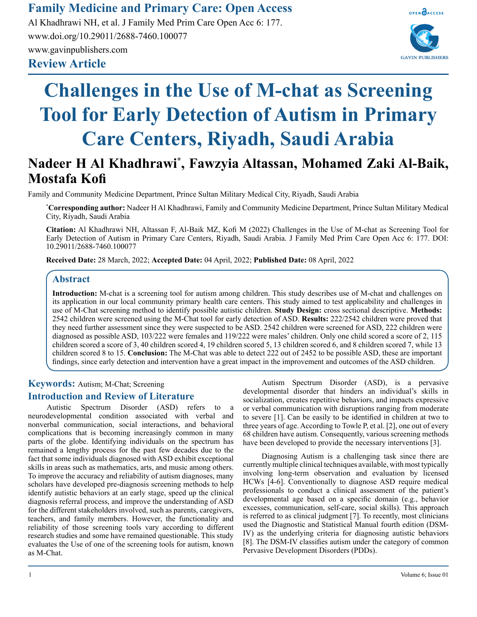# **Family Medicine and Primary Care: Open Access**

Al Khadhrawi NH, et al. J Family Med Prim Care Open Acc 6: 177. www.doi.org/10.29011/2688-7460.100077 www.gavinpublishers.com



# **Review Article**

# **Challenges in the Use of M-chat as Screening Tool for Early Detection of Autism in Primary Care Centers, Riyadh, Saudi Arabia**

# **Nadeer H Al Khadhrawi\* , Fawzyia Altassan, Mohamed Zaki Al-Baik, Mostafa Kofi**

Family and Community Medicine Department, Prince Sultan Military Medical City, Riyadh, Saudi Arabia

**\* Corresponding author:** Nadeer H Al Khadhrawi, Family and Community Medicine Department, Prince Sultan Military Medical City, Riyadh, Saudi Arabia

**Citation:** Al Khadhrawi NH, Altassan F, Al-Baik MZ, Kofi M (2022) Challenges in the Use of M-chat as Screening Tool for Early Detection of Autism in Primary Care Centers, Riyadh, Saudi Arabia. J Family Med Prim Care Open Acc 6: 177. DOI: 10.29011/2688-7460.100077

**Received Date:** 28 March, 2022; **Accepted Date:** 04 April, 2022; **Published Date:** 08 April, 2022

## **Abstract**

**Introduction:** M-chat is a screening tool for autism among children. This study describes use of M-chat and challenges on its application in our local community primary health care centers. This study aimed to test applicability and challenges in use of M-Chat screening method to identify possible autistic children. **Study Design:** cross sectional descriptive. **Methods:** 2542 children were screened using the M-Chat tool for early detection of ASD. **Results:** 222/2542 children were proved that they need further assessment since they were suspected to be ASD. 2542 children were screened for ASD, 222 children were diagnosed as possible ASD, 103/222 were females and 119/222 were males' children. Only one child scored a score of 2, 115 children scored a score of 3, 40 children scored 4, 19 children scored 5, 13 children scored 6, and 8 children scored 7, while 13 children scored 8 to 15. **Conclusion:** The M-Chat was able to detect 222 out of 2452 to be possible ASD, these are important findings, since early detection and intervention have a great impact in the improvement and outcomes of the ASD children.

## **Keywords:** Autism; M-Chat; Screening **Introduction and Review of Literature**

Autistic Spectrum Disorder (ASD) refers to a neurodevelopmental condition associated with verbal and nonverbal communication, social interactions, and behavioral complications that is becoming increasingly common in many parts of the globe. Identifying individuals on the spectrum has remained a lengthy process for the past few decades due to the fact that some individuals diagnosed with ASD exhibit exceptional skills in areas such as mathematics, arts, and music among others. To improve the accuracy and reliability of autism diagnoses, many scholars have developed pre-diagnosis screening methods to help identify autistic behaviors at an early stage, speed up the clinical diagnosis referral process, and improve the understanding of ASD for the different stakeholders involved, such as parents, caregivers, teachers, and family members. However, the functionality and reliability of those screening tools vary according to different research studies and some have remained questionable. This study evaluates the Use of one of the screening tools for autism, known as M-Chat.

Autism Spectrum Disorder (ASD), is a pervasive developmental disorder that hinders an individual's skills in socialization, creates repetitive behaviors, and impacts expressive or verbal communication with disruptions ranging from moderate to severe [1]. Can be easily to be identified in children at two to three years of age. According to Towle P, et al. [2], one out of every 68 children have autism. Consequently, various screening methods have been developed to provide the necessary interventions [3].

Diagnosing Autism is a challenging task since there are currently multiple clinical techniques available, with most typically involving long-term observation and evaluation by licensed HCWs [4-6]. Conventionally to diagnose ASD require medical professionals to conduct a clinical assessment of the patient's developmental age based on a specific domain (e.g., behavior excesses, communication, self-care, social skills). This approach is referred to as clinical judgment [7]. To recently, most clinicians used the Diagnostic and Statistical Manual fourth edition (DSM-IV) as the underlying criteria for diagnosing autistic behaviors [8]. The DSM-IV classifies autism under the category of common Pervasive Development Disorders (PDDs).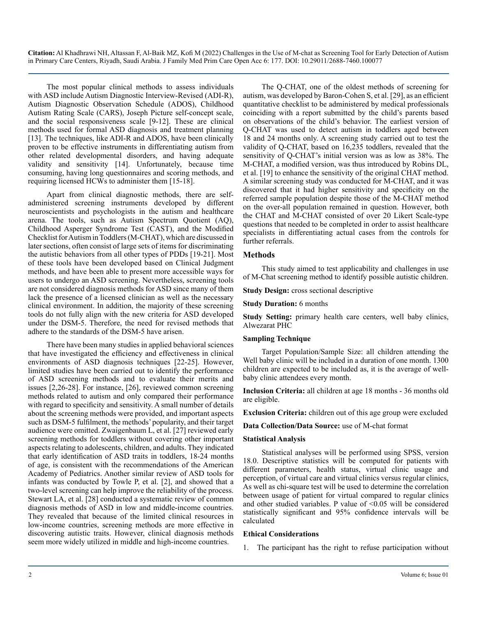The most popular clinical methods to assess individuals with ASD include Autism Diagnostic Interview-Revised (ADI-R), Autism Diagnostic Observation Schedule (ADOS), Childhood Autism Rating Scale (CARS), Joseph Picture self-concept scale, and the social responsiveness scale [9-12]. These are clinical methods used for formal ASD diagnosis and treatment planning [13]. The techniques, like ADI-R and ADOS, have been clinically proven to be effective instruments in differentiating autism from other related developmental disorders, and having adequate validity and sensitivity [14]. Unfortunately, because time consuming, having long questionnaires and scoring methods, and requiring licensed HCWs to administer them [15-18].

Apart from clinical diagnostic methods, there are selfadministered screening instruments developed by different neuroscientists and psychologists in the autism and healthcare arena. The tools, such as Autism Spectrum Quotient (AQ), Childhood Asperger Syndrome Test (CAST), and the Modified Checklist for Autism in Toddlers (M-CHAT), which are discussed in later sections, often consist of large sets of items for discriminating the autistic behaviors from all other types of PDDs [19-21]. Most of these tools have been developed based on Clinical Judgment methods, and have been able to present more accessible ways for users to undergo an ASD screening. Nevertheless, screening tools are not considered diagnosis methods for ASD since many of them lack the presence of a licensed clinician as well as the necessary clinical environment. In addition, the majority of these screening tools do not fully align with the new criteria for ASD developed under the DSM-5. Therefore, the need for revised methods that adhere to the standards of the DSM-5 have arisen.

There have been many studies in applied behavioral sciences that have investigated the efficiency and effectiveness in clinical environments of ASD diagnosis techniques [22-25]. However, limited studies have been carried out to identify the performance of ASD screening methods and to evaluate their merits and issues [2,26-28]. For instance, [26], reviewed common screening methods related to autism and only compared their performance with regard to specificity and sensitivity. A small number of details about the screening methods were provided, and important aspects such as DSM-5 fulfilment, the methods' popularity, and their target audience were omitted. Zwaigenbaum L, et al. [27] reviewed early screening methods for toddlers without covering other important aspects relating to adolescents, children, and adults. They indicated that early identification of ASD traits in toddlers, 18-24 months of age, is consistent with the recommendations of the American Academy of Pediatrics. Another similar review of ASD tools for infants was conducted by Towle P, et al. [2], and showed that a two-level screening can help improve the reliability of the process. Stewart LA, et al. [28] conducted a systematic review of common diagnosis methods of ASD in low and middle-income countries. They revealed that because of the limited clinical resources in low-income countries, screening methods are more effective in discovering autistic traits. However, clinical diagnosis methods seem more widely utilized in middle and high-income countries.

The Q-CHAT, one of the oldest methods of screening for autism, was developed by Baron-Cohen S, et al. [29], as an efficient quantitative checklist to be administered by medical professionals coinciding with a report submitted by the child's parents based on observations of the child's behavior. The earliest version of Q-CHAT was used to detect autism in toddlers aged between 18 and 24 months only. A screening study carried out to test the validity of Q-CHAT, based on 16,235 toddlers, revealed that the sensitivity of Q-CHAT's initial version was as low as 38%. The M-CHAT, a modified version, was thus introduced by Robins DL, et al. [19] to enhance the sensitivity of the original CHAT method. A similar screening study was conducted for M-CHAT, and it was discovered that it had higher sensitivity and specificity on the referred sample population despite those of the M-CHAT method on the over-all population remained in question. However, both the CHAT and M-CHAT consisted of over 20 Likert Scale-type questions that needed to be completed in order to assist healthcare specialists in differentiating actual cases from the controls for further referrals.

#### **Methods**

This study aimed to test applicability and challenges in use of M-Chat screening method to identify possible autistic children.

**Study Design:** cross sectional descriptive

**Study Duration:** 6 months

**Study Setting:** primary health care centers, well baby clinics, Alwezarat PHC

#### **Sampling Technique**

Target Population/Sample Size: all children attending the Well baby clinic will be included in a duration of one month. 1300 children are expected to be included as, it is the average of wellbaby clinic attendees every month.

**Inclusion Criteria:** all children at age 18 months - 36 months old are eligible.

**Exclusion Criteria:** children out of this age group were excluded

**Data Collection/Data Source:** use of M-chat format

#### **Statistical Analysis**

Statistical analyses will be performed using SPSS, version 18.0. Descriptive statistics will be computed for patients with different parameters, health status, virtual clinic usage and perception, of virtual care and virtual clinics versus regular clinics, As well as chi-square test will be used to determine the correlation between usage of patient for virtual compared to regular clinics and other studied variables. P value of  $\leq 0.05$  will be considered statistically significant and 95% confidence intervals will be calculated

#### **Ethical Considerations**

1. The participant has the right to refuse participation without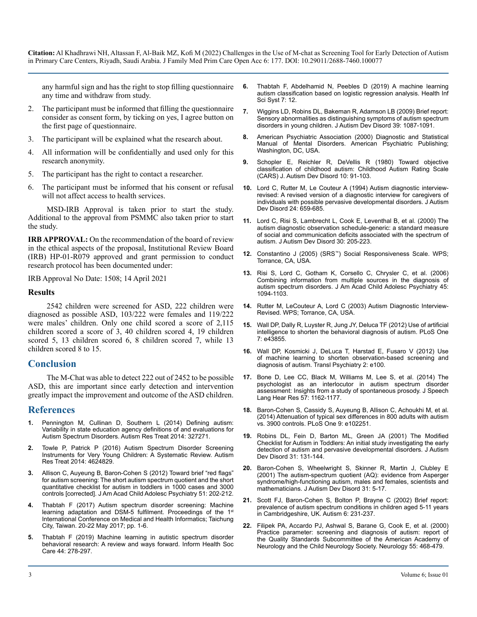any harmful sign and has the right to stop filling questionnaire any time and withdraw from study.

- 2. The participant must be informed that filling the questionnaire consider as consent form, by ticking on yes, I agree button on the first page of questionnaire.
- 3. The participant will be explained what the research about.
- 4. All information will be confidentially and used only for this research anonymity.
- 5. The participant has the right to contact a researcher.
- 6. The participant must be informed that his consent or refusal will not affect access to health services.

MSD-IRB Approval is taken prior to start the study. Additional to the approval from PSMMC also taken prior to start the study.

**IRB APPROVAL:** On the recommendation of the board of review in the ethical aspects of the proposal, Institutional Review Board (IRB) HP-01-R079 approved and grant permission to conduct research protocol has been documented under:

IRB Approval No Date: 1508; 14 April 2021

#### **Results**

2542 children were screened for ASD, 222 children were diagnosed as possible ASD, 103/222 were females and 119/222 were males' children. Only one child scored a score of 2,115 children scored a score of 3, 40 children scored 4, 19 children scored 5, 13 children scored 6, 8 children scored 7, while 13 children scored 8 to 15.

## **Conclusion**

The M-Chat was able to detect 222 out of 2452 to be possible ASD, this are important since early detection and intervention greatly impact the improvement and outcome of the ASD children.

## **References**

- **1.** [Pennington M, Cullinan D, Southern L \(2014\) Defining autism:](https://pubmed.ncbi.nlm.nih.gov/24987527/)  [Variability in state education agency definitions of and evaluations for](https://pubmed.ncbi.nlm.nih.gov/24987527/)  [Autism Spectrum Disorders. Autism Res Treat 2014: 327271.](https://pubmed.ncbi.nlm.nih.gov/24987527/)
- **2.** [Towle P, Patrick P \(2016\) Autism Spectrum Disorder Screening](https://pubmed.ncbi.nlm.nih.gov/28116159/)  Instruments for Very Young Children: A Systematic Review. Autism [Res Treat 2014: 4624829.](https://pubmed.ncbi.nlm.nih.gov/28116159/)
- **3.** [Allison C, Auyeung B, Baron-Cohen S \(2012\) Toward brief "red flags"](https://pubmed.ncbi.nlm.nih.gov/22265366/)  [for autism screening: The short autism spectrum quotient and the short](https://pubmed.ncbi.nlm.nih.gov/22265366/)  [quantitative checklist for autism in toddlers in 1000 cases and 3000](https://pubmed.ncbi.nlm.nih.gov/22265366/)  [controls \[corrected\]. J Am Acad Child Adolesc Psychiatry 51: 202-212.](https://pubmed.ncbi.nlm.nih.gov/22265366/)
- **4.** [Thabtah F \(2017\) Autism spectrum disorder screening: Machine](https://dl.acm.org/doi/10.1145/3107514.3107515)  [learning adaptation and DSM-5 fulfilment. Proceedings of the 1st](https://dl.acm.org/doi/10.1145/3107514.3107515) [International Conference on Medical and Health Informatics; Taichung](https://dl.acm.org/doi/10.1145/3107514.3107515)  [City, Taiwan. 20-22 May 2017; pp. 1-6.](https://dl.acm.org/doi/10.1145/3107514.3107515)
- **5.** [Thabtah F \(2019\) Machine learning in autistic spectrum disorder](https://pubmed.ncbi.nlm.nih.gov/29436887/)  [behavioral research: A review and ways forward. Inform Health Soc](https://pubmed.ncbi.nlm.nih.gov/29436887/)  [Care 44: 278-297.](https://pubmed.ncbi.nlm.nih.gov/29436887/)
- **6.** [Thabtah F, Abdelhamid N, Peebles D \(2019\) A machine learning](https://pubmed.ncbi.nlm.nih.gov/31168365/)  [autism classification based on logistic regression analysis. Health Inf](https://pubmed.ncbi.nlm.nih.gov/31168365/) [Sci Syst 7: 12.](https://pubmed.ncbi.nlm.nih.gov/31168365/)
- **7.** [Wiggins LD, Robins DL, Bakeman R, Adamson LB \(2009\) Brief report:](https://pubmed.ncbi.nlm.nih.gov/19283461/)  [Sensory abnormalities as distinguishing symptoms of autism spectrum](https://pubmed.ncbi.nlm.nih.gov/19283461/)  [disorders in young children. J Autism Dev Disord 39: 1087-1091.](https://pubmed.ncbi.nlm.nih.gov/19283461/)
- **8.** [American Psychiatric Association \(2000\) Diagnostic and Statistical](http://repository.poltekkes-kaltim.ac.id/657/1/Diagnostic and statistical manual of mental disorders _ DSM-5 %28 PDFDrive.com %29.pdf)  [Manual of Mental Disorders. American Psychiatric Publishing;](http://repository.poltekkes-kaltim.ac.id/657/1/Diagnostic and statistical manual of mental disorders _ DSM-5 %28 PDFDrive.com %29.pdf)  [Washington, DC, USA.](http://repository.poltekkes-kaltim.ac.id/657/1/Diagnostic and statistical manual of mental disorders _ DSM-5 %28 PDFDrive.com %29.pdf)
- **9.** [Schopler E, Reichler R, DeVellis R \(1980\) Toward objective](https://pubmed.ncbi.nlm.nih.gov/6927682/)  classification of childhood autism: Childhood Autism Rating Scale [\(CARS\) J. Autism Dev Disord 10: 91-103.](https://pubmed.ncbi.nlm.nih.gov/6927682/)
- **10.** [Lord C, Rutter M, Le Couteur A \(1994\) Autism diagnostic interview](https://pubmed.ncbi.nlm.nih.gov/7814313/)[revised: A revised version of a diagnostic interview for caregivers of](https://pubmed.ncbi.nlm.nih.gov/7814313/)  [individuals with possible pervasive developmental disorders. J Autism](https://pubmed.ncbi.nlm.nih.gov/7814313/)  [Dev Disord 24: 659-685.](https://pubmed.ncbi.nlm.nih.gov/7814313/)
- **11.** [Lord C, Risi S, Lambrecht L, Cook E, Leventhal B, et al. \(2000\) The](https://pubmed.ncbi.nlm.nih.gov/11055457/)  [autism diagnostic observation schedule-generic: a standard measure](https://pubmed.ncbi.nlm.nih.gov/11055457/)  [of social and communication deficits associated with the spectrum of](https://pubmed.ncbi.nlm.nih.gov/11055457/)  [autism. J Autism Dev Disord 30: 205-223.](https://pubmed.ncbi.nlm.nih.gov/11055457/)
- **12.** Constantino J (2005) (SRS™[\) Social Responsiveness Scale. WPS;](https://www.wpspublish.com/srs-2-social-responsiveness-scale-second-edition)  [Torrance, CA, USA.](https://www.wpspublish.com/srs-2-social-responsiveness-scale-second-edition)
- **13.** [Risi S, Lord C, Gotham K, Corsello C, Chrysler C, et al. \(2006\)](https://pubmed.ncbi.nlm.nih.gov/16926617/)  [Combining information from multiple sources in the diagnosis of](https://pubmed.ncbi.nlm.nih.gov/16926617/) [autism spectrum disorders. J Am Acad Child Adolesc Psychiatry 45:](https://pubmed.ncbi.nlm.nih.gov/16926617/) [1094-1103.](https://pubmed.ncbi.nlm.nih.gov/16926617/)
- **14.** [Rutter M, LeCouteur A, Lord C \(2003\) Autism Diagnostic Interview-](https://www.scirp.org/(S(351jmbntvnsjt1aadkposzje))/reference/ReferencesPapers.aspx?ReferenceID=1423674)[Revised. WPS; Torrance, CA, USA.](https://www.scirp.org/(S(351jmbntvnsjt1aadkposzje))/reference/ReferencesPapers.aspx?ReferenceID=1423674)
- **15.** [Wall DP, Dally R, Luyster R, Jung JY, Deluca TF \(2012\) Use of artificial](https://pubmed.ncbi.nlm.nih.gov/22952789/)  [intelligence to shorten the behavioral diagnosis of autism. PLoS One](https://pubmed.ncbi.nlm.nih.gov/22952789/)  [7: e43855.](https://pubmed.ncbi.nlm.nih.gov/22952789/)
- **16.** [Wall DP, Kosmicki J, DeLuca T, Harstad E, Fusaro V \(2012\) Use](https://www.nature.com/articles/tp201210)  [of machine learning to shorten observation-based screening and](https://www.nature.com/articles/tp201210)  [diagnosis of autism. Transl Psychiatry 2: e100.](https://www.nature.com/articles/tp201210)
- **17.** [Bone D, Lee CC, Black M, Williams M, Lee S, et al. \(2014\) The](https://pubmed.ncbi.nlm.nih.gov/24686340/)  [psychologist as an interlocutor in autism spectrum disorder](https://pubmed.ncbi.nlm.nih.gov/24686340/)  [assessment: Insights from a study of spontaneous prosody. J Speech](https://pubmed.ncbi.nlm.nih.gov/24686340/)  [Lang Hear Res 57: 1162-1177.](https://pubmed.ncbi.nlm.nih.gov/24686340/)
- **18.** [Baron-Cohen S, Cassidy S, Auyeung B, Allison C, Achoukhi M, et al.](https://pubmed.ncbi.nlm.nih.gov/25029203/)  [\(2014\) Attenuation of typical sex differences in 800 adults with autism](https://pubmed.ncbi.nlm.nih.gov/25029203/)  [vs. 3900 controls. PLoS One 9: e102251.](https://pubmed.ncbi.nlm.nih.gov/25029203/)
- **19.** [Robins DL, Fein D, Barton ML, Green JA \(2001\) The Modified](https://pubmed.ncbi.nlm.nih.gov/11450812/)  [Checklist for Autism in Toddlers: An initial study investigating the early](https://pubmed.ncbi.nlm.nih.gov/11450812/)  [detection of autism and pervasive developmental disorders. J Autism](https://pubmed.ncbi.nlm.nih.gov/11450812/) [Dev Disord 31: 131-144.](https://pubmed.ncbi.nlm.nih.gov/11450812/)
- **20.** [Baron-Cohen S, Wheelwright S, Skinner R, Martin J, Clubley E](https://pubmed.ncbi.nlm.nih.gov/11439754/) [\(2001\) The autism-spectrum quotient \(AQ\): evidence from Asperger](https://pubmed.ncbi.nlm.nih.gov/11439754/)  syndrome/high-functioning autism, males and females, scientists and [mathematicians. J Autism Dev Disord 31: 5-17.](https://pubmed.ncbi.nlm.nih.gov/11439754/)
- **21.** [Scott FJ, Baron-Cohen S, Bolton P, Brayne C \(2002\) Brief report:](https://pubmed.ncbi.nlm.nih.gov/12212915/) [prevalence of autism spectrum conditions in children aged 5-11 years](https://pubmed.ncbi.nlm.nih.gov/12212915/)  [in Cambridgeshire, UK. Autism 6: 231-237.](https://pubmed.ncbi.nlm.nih.gov/12212915/)
- **22.** [Filipek PA, Accardo PJ, Ashwal S, Barane G, Cook E, et al. \(2000\)](https://pubmed.ncbi.nlm.nih.gov/10953176/)  [Practice parameter: screening and diagnosis of autism: report of](https://pubmed.ncbi.nlm.nih.gov/10953176/) [the Quality Standards Subcommittee of the American Academy of](https://pubmed.ncbi.nlm.nih.gov/10953176/) [Neurology and the Child Neurology Society. Neurology 55: 468-479.](https://pubmed.ncbi.nlm.nih.gov/10953176/)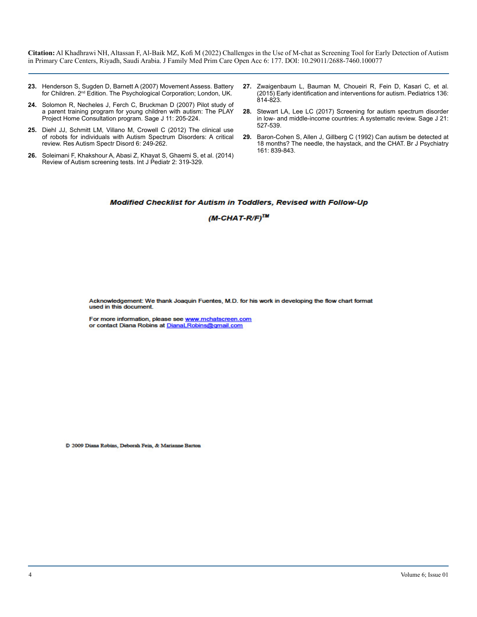- **23.** [Henderson S, Sugden D, Barnett A \(2007\) Movement Assess. Battery](https://link.springer.com/referenceworkentry/10.1007/978-1-4419-1698-3_1922)  [for Children. 2nd Edition. The Psychological Corporation; London, UK.](https://link.springer.com/referenceworkentry/10.1007/978-1-4419-1698-3_1922)
- **24.** [Solomon R, Necheles J, Ferch C, Bruckman D \(2007\) Pilot study of](https://pubmed.ncbi.nlm.nih.gov/17478575/)  [a parent training program for young children with autism: The PLAY](https://pubmed.ncbi.nlm.nih.gov/17478575/)  [Project Home Consultation program. Sage J 11: 205-224.](https://pubmed.ncbi.nlm.nih.gov/17478575/)
- **25.** [Diehl JJ, Schmitt LM, Villano M, Crowell C \(2012\) The clinical use](https://pubmed.ncbi.nlm.nih.gov/22125579/)  [of robots for individuals with Autism Spectrum Disorders: A critical](https://pubmed.ncbi.nlm.nih.gov/22125579/)  [review. Res Autism Spectr Disord 6: 249-262.](https://pubmed.ncbi.nlm.nih.gov/22125579/)
- **26.** [Soleimani F, Khakshour A, Abasi Z, Khayat S, Ghaemi S, et al. \(2014\)](https://ijp.mums.ac.ir/article_3151.html)  [Review of Autism screening tests. Int J Pediatr 2: 319-329.](https://ijp.mums.ac.ir/article_3151.html)
- **27.** [Zwaigenbaum L, Bauman M, Choueiri R, Fein D, Kasari C, et al.](https://pubmed.ncbi.nlm.nih.gov/26430167/)  [\(2015\) Early identification and interventions for autism. Pediatrics 136:](https://pubmed.ncbi.nlm.nih.gov/26430167/)  [814-823.](https://pubmed.ncbi.nlm.nih.gov/26430167/)
- **28.** [Stewart LA, Lee LC \(2017\) Screening for autism spectrum disorder](https://pubmed.ncbi.nlm.nih.gov/28183195/)  [in low- and middle-income countries: A systematic review. Sage J 21:](https://pubmed.ncbi.nlm.nih.gov/28183195/)  [527-539.](https://pubmed.ncbi.nlm.nih.gov/28183195/)
- **29.** [Baron-Cohen S, Allen J, Gillberg C \(1992\) Can autism be detected at](https://pubmed.ncbi.nlm.nih.gov/1483172/)  [18 months? The needle, the haystack, and the CHAT. Br J Psychiatry](https://pubmed.ncbi.nlm.nih.gov/1483172/)  [161: 839-843.](https://pubmed.ncbi.nlm.nih.gov/1483172/)

#### Modified Checklist for Autism in Toddlers, Revised with Follow-Up

 $(M$ -CHAT-R/F)<sup>TM</sup>

Acknowledgement: We thank Joaquin Fuentes, M.D. for his work in developing the flow chart format used in this document.

For more information, please see www.mchatscreen.com<br>or contact Diana Robins at DianaLRobins@qmail.com

© 2009 Diana Robins, Deborah Fein, & Marianne Barton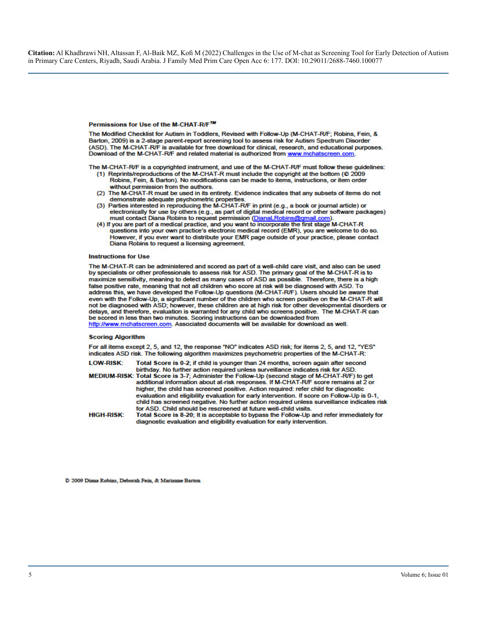#### Permissions for Use of the M-CHAT-R/F™

The Modified Checklist for Autism in Toddlers, Revised with Follow-Up (M-CHAT-R/F; Robins, Fein, & Barton, 2009) is a 2-stage parent-report screening tool to assess risk for Autism Spectrum Disorder (ASD). The M-CHAT-R/F is available for free download for clinical, research, and educational purposes. Download of the M-CHAT-R/F and related material is authorized from www.mchatscreen.com.

The M-CHAT-R/F is a copyrighted instrument, and use of the M-CHAT-R/F must follow these quidelines:

- (1) Reprints/reproductions of the M-CHAT-R must include the copyright at the bottom (@ 2009 Robins, Fein, & Barton). No modifications can be made to items, instructions, or item order without permission from the authors.
- (2) The M-CHAT-R must be used in its entirety. Evidence indicates that any subsets of items do not demonstrate adequate psychometric properties.
- Parties interested in reproducing the M-CHAT-R/F in print (e.g., a book or journal article) or electronically for use by others (e.g., as part of digital medical record or other software packages) must contact Diana Robins to request permission (DianaLRobins@qmail.com).
- (4) If you are part of a medical practice, and you want to incorporate the first stage M-CHAT-R questions into your own practice's electronic medical record (EMR), you are welcome to do so. However, if you ever want to distribute your EMR page outside of your practice, please contact Diana Robins to request a licensing agreement.

#### **Instructions for Use**

The M-CHAT-R can be administered and scored as part of a well-child care visit, and also can be used by specialists or other professionals to assess risk for ASD. The primary goal of the M-CHAT-R is to maximize sensitivity, meaning to detect as many cases of ASD as possible. Therefore, there is a high false positive rate, meaning that not all children who score at risk will be diagnosed with ASD. To address this, we have developed the Follow-Up questions (M-CHAT-R/F). Users should be aware that even with the Follow-Up, a significant number of the children who screen positive on the M-CHAT-R will not be diagnosed with ASD; however, these children are at high risk for other developmental disorders or delays, and therefore, evaluation is warranted for any child who screens positive. The M-CHAT-R can be scored in less than two minutes. Scoring instructions can be downloaded from http://www.mchatscreen.com. Associated documents will be available for download as well.

#### **Scoring Algorithm**

For all items except 2, 5, and 12, the response "NO" indicates ASD risk; for items 2, 5, and 12, "YES" indicates ASD risk. The following algorithm maximizes psychometric properties of the M-CHAT-R:

Total Score is 0-2; if child is younger than 24 months, screen again after second **LOW-RISK**birthday. No further action required unless surveillance indicates risk for ASD.

- MEDIUM-RISK: Total Score is 3-7; Administer the Follow-Up (second stage of M-CHAT-R/F) to get additional information about at-risk responses. If M-CHAT-R/F score remains at 2 or higher, the child has screened positive. Action required: refer child for diagnostic evaluation and eligibility evaluation for early intervention. If score on Follow-Up is 0-1, child has screened negative. No further action required unless surveillance indicates risk for ASD. Child should be rescreened at future well-child visits.
- **HIGH-RISK:** Total Score is 8-20; It is acceptable to bypass the Follow-Up and refer immediately for diagnostic evaluation and eligibility evaluation for early intervention.

© 2009 Diana Robins, Deborah Fein, & Marianne Barton